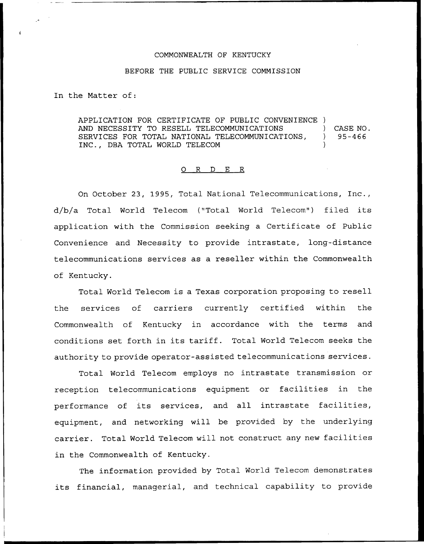## COMMONWEALTH OF KENTUCKY

## BEFORE THE PUBLIC SERVICE COMMISSION

In the Matter of:

APPLICATION FOR CERTIFICATE OF PUBLIC CONVENIENCE ) AND NECESSITY TO RESELL TELECOMMUNICATIONS  $\qquad$  ) CASE NO.<br>SERVICES FOR TOTAL NATIONAL TELECOMMUNICATIONS,  $\qquad$  ) 95-466 SERVICES FOR TOTAL NATIONAL TELECOMMUNICATIONS, ) INC., DBA TOTAL WORLD TELECOM

## 0 R <sup>D</sup> E R

On October 23, 1995, Total National Telecommunications, Inc., d/bja Total World Telecom ("Total World Telecom") filed its application with the Commission seeking a Certificate of Public Convenience and Necessity to provide intrastate, long-distance telecommunications services as a reseller within the Commonwealth of Kentucky.

Total World Telecom is a Texas corporation proposing to resell the services of carriers currently certified within the Commonwealth of Kentucky in accordance with the terms and conditions set forth in its tariff. Total World Telecom seeks the authority to provide operator-assisted telecommunications services.

Total World Telecom employs no intrastate transmission or reception telecommunications equipment or facilities in the performance of its services, and all intrastate facilities, equipment, and networking will be provided by the underlying carrier. Total World Telecom will not construct any new facilities in the Commonwealth of Kentucky.

The information provided by Total World Telecom demonstrates its financial, managerial, and technical capability to provide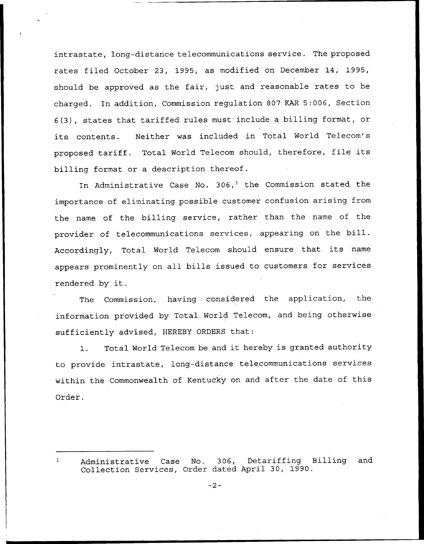intrastate, long-distance telecommunications service. The proposed rates filed October 23, 1995, as modified on December 14, 1995, should be approved as the fair, just and reasonable rates to be charged. In addition, Commission regulation 807 KAR 5:006, Section 6(3), states that tariffed rules must include a billing format, or its contents. Neither was included in Total World Telecom's proposed tariff. Total World Telecom should, therefore, file its billing format or a description thereof.

In Administrative Case No. 306,<sup>1</sup> the Commission stated the importance of eliminating possible customer confusion arising from the name of the billing service, rather than the name of the provider of telecommunications services, appearing on the bill. Accordingly, Total World Telecom should ensure that its name appears prominently on all bills issued to customers for services rendered by it.

The Commission, having considered the application, the information provided by Total World Telecom, and being otherwise sufficiently advised, HEREBY ORDERS that:

1. Total World Telecom be and it hereby is granted authority to provide intrastate, long-distance telecommunications services within the Commonwealth of Kentucky on and after the date of this Order.

Administrative Case No. 306, Detariffing Billing and Collection Services, Order dated April 30, 1990.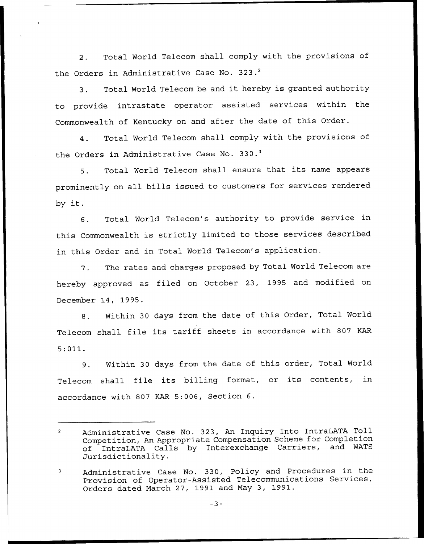2. Total World Telecom shall comply with the provisions of the Orders in Administrative Case No. 323.<sup>2</sup>

Total World Telecom be and it hereby is granted authority  $\overline{3}$ to provide intrastate operator assisted services within the Commonwealth of Kentucky on and after the date of this Order.

4. Total World Telecom shall comply with the provisions of the Orders in Administrative Case No. 330.<sup>3</sup>

Total World Telecom shall ensure that its name appears  $5.$ prominently on all bills issued to customers for services rendered by it.

6. Total World Telecom's authority to provide service in this Commonwealth is strictly limited to those services described in this Order and in Total World Telecom's application.

7. The rates and charges proposed by Total World Telecom are hereby approved as filed on October 23, 1995 and modified on December 14, 1995.

8. Within 30 days from the date of this Order, Total World Telecom shall file its tariff sheets in accordance with <sup>807</sup> KAR 5:011.

9. Within 30 days from the date of this order, Total World Telecom shall file its billing format, or its contents, in accordance with 807 KAR 5:006, Section 6.

 $-3-$ 

Administrative Case No. 323, An Inquiry Into IntraLATA Toll  $\overline{2}$ Competition, An Appropriate Compensation Scheme for Completion<br>of IntraLATA Calls by Interexchange Carriers, and WATS of IntraLATA Calls by Interexchange Carriers, Jurisdictionality.

Administrative Case No. 330, Policy and Procedures in the 3 Provision of Operator-Assisted Telecommunications Services, Orders dated March 27, 1991 and May 3, 1991.